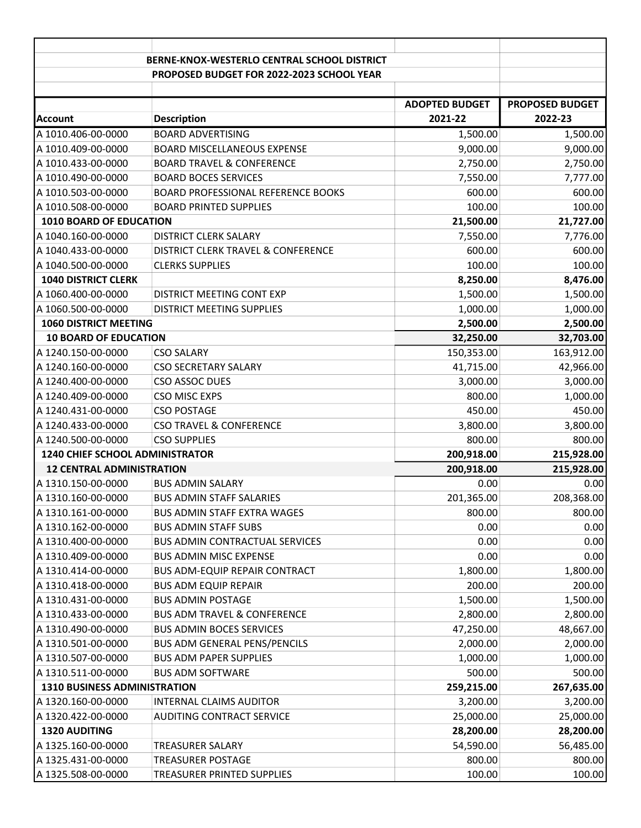| BERNE-KNOX-WESTERLO CENTRAL SCHOOL DISTRICT<br>PROPOSED BUDGET FOR 2022-2023 SCHOOL YEAR<br><b>PROPOSED BUDGET</b><br><b>ADOPTED BUDGET</b><br><b>Description</b><br>2021-22<br>2022-23<br><b>BOARD ADVERTISING</b><br>1,500.00<br>1,500.00<br>9,000.00<br>9,000.00<br><b>BOARD MISCELLANEOUS EXPENSE</b><br>2,750.00<br><b>BOARD TRAVEL &amp; CONFERENCE</b><br>2,750.00<br><b>BOARD BOCES SERVICES</b><br>7,550.00<br>7,777.00<br>600.00<br><b>BOARD PROFESSIONAL REFERENCE BOOKS</b><br>600.00<br>100.00<br>100.00<br><b>BOARD PRINTED SUPPLIES</b><br>1010 BOARD OF EDUCATION<br>21,500.00<br>21,727.00<br>7,550.00<br>7,776.00<br><b>DISTRICT CLERK SALARY</b><br>600.00<br>600.00<br>DISTRICT CLERK TRAVEL & CONFERENCE<br><b>CLERKS SUPPLIES</b><br>100.00<br>100.00<br><b>1040 DISTRICT CLERK</b><br>8,476.00<br>8,250.00<br>1,500.00<br>1,500.00<br>DISTRICT MEETING CONT EXP<br>1,000.00<br>1,000.00<br>DISTRICT MEETING SUPPLIES<br>2,500.00<br><b>1060 DISTRICT MEETING</b><br>2,500.00<br>32,250.00<br>32,703.00<br><b>10 BOARD OF EDUCATION</b><br>163,912.00<br>150,353.00<br><b>CSO SALARY</b><br>42,966.00<br><b>CSO SECRETARY SALARY</b><br>41,715.00<br>3,000.00<br>A 1240.400-00-0000<br>CSO ASSOC DUES<br>3,000.00<br>800.00<br>1,000.00<br>A 1240.409-00-0000<br><b>CSO MISC EXPS</b><br>450.00<br>A 1240.431-00-0000<br><b>CSO POSTAGE</b><br>450.00<br>3,800.00<br>3,800.00<br>A 1240.433-00-0000<br><b>CSO TRAVEL &amp; CONFERENCE</b><br>A 1240.500-00-0000<br><b>CSO SUPPLIES</b><br>800.00<br>800.00<br>1240 CHIEF SCHOOL ADMINISTRATOR<br>200,918.00<br>215,928.00<br><b>12 CENTRAL ADMINISTRATION</b><br>200,918.00<br>215,928.00<br>A 1310.150-00-0000<br>0.00<br><b>BUS ADMIN SALARY</b><br>0.00<br>201,365.00<br>208,368.00<br>A 1310.160-00-0000<br><b>BUS ADMIN STAFF SALARIES</b><br>800.00<br>A 1310.161-00-0000<br><b>BUS ADMIN STAFF EXTRA WAGES</b><br>A 1310.162-00-0000<br><b>BUS ADMIN STAFF SUBS</b><br>0.00<br>A 1310.400-00-0000<br>0.00<br><b>BUS ADMIN CONTRACTUAL SERVICES</b><br>A 1310.409-00-0000<br>0.00<br><b>BUS ADMIN MISC EXPENSE</b><br>A 1310.414-00-0000<br><b>BUS ADM-EQUIP REPAIR CONTRACT</b><br>1,800.00<br>A 1310.418-00-0000<br>200.00<br><b>BUS ADM EQUIP REPAIR</b><br>A 1310.431-00-0000<br><b>BUS ADMIN POSTAGE</b><br>1,500.00<br>A 1310.433-00-0000<br><b>BUS ADM TRAVEL &amp; CONFERENCE</b><br>2,800.00<br>A 1310.490-00-0000<br><b>BUS ADMIN BOCES SERVICES</b><br>47,250.00<br>A 1310.501-00-0000<br><b>BUS ADM GENERAL PENS/PENCILS</b><br>2,000.00<br>A 1310.507-00-0000<br><b>BUS ADM PAPER SUPPLIES</b><br>1,000.00<br>A 1310.511-00-0000<br><b>BUS ADM SOFTWARE</b><br>500.00<br><b>1310 BUSINESS ADMINISTRATION</b><br>259,215.00<br>A 1320.160-00-0000<br><b>INTERNAL CLAIMS AUDITOR</b><br>3,200.00<br>A 1320.422-00-0000<br>AUDITING CONTRACT SERVICE<br>25,000.00<br>1320 AUDITING<br>28,200.00<br>A 1325.160-00-0000<br><b>TREASURER SALARY</b><br>54,590.00<br>A 1325.431-00-0000<br><b>TREASURER POSTAGE</b><br>800.00 |                    |  |  |  |
|-----------------------------------------------------------------------------------------------------------------------------------------------------------------------------------------------------------------------------------------------------------------------------------------------------------------------------------------------------------------------------------------------------------------------------------------------------------------------------------------------------------------------------------------------------------------------------------------------------------------------------------------------------------------------------------------------------------------------------------------------------------------------------------------------------------------------------------------------------------------------------------------------------------------------------------------------------------------------------------------------------------------------------------------------------------------------------------------------------------------------------------------------------------------------------------------------------------------------------------------------------------------------------------------------------------------------------------------------------------------------------------------------------------------------------------------------------------------------------------------------------------------------------------------------------------------------------------------------------------------------------------------------------------------------------------------------------------------------------------------------------------------------------------------------------------------------------------------------------------------------------------------------------------------------------------------------------------------------------------------------------------------------------------------------------------------------------------------------------------------------------------------------------------------------------------------------------------------------------------------------------------------------------------------------------------------------------------------------------------------------------------------------------------------------------------------------------------------------------------------------------------------------------------------------------------------------------------------------------------------------------------------------------------------------------------------------------------------------------------------------------------------------------------------------------------------------------------------------------------------------------------------------------------------------------------------------------------------------------------------------------------------|--------------------|--|--|--|
| 800.00<br>0.00<br>0.00<br>0.00<br>1,800.00<br>200.00<br>1,500.00<br>2,800.00<br>48,667.00<br>2,000.00<br>1,000.00<br>500.00<br>267,635.00<br>3,200.00<br>25,000.00<br>28,200.00<br>56,485.00<br>800.00                                                                                                                                                                                                                                                                                                                                                                                                                                                                                                                                                                                                                                                                                                                                                                                                                                                                                                                                                                                                                                                                                                                                                                                                                                                                                                                                                                                                                                                                                                                                                                                                                                                                                                                                                                                                                                                                                                                                                                                                                                                                                                                                                                                                                                                                                                                                                                                                                                                                                                                                                                                                                                                                                                                                                                                                          |                    |  |  |  |
|                                                                                                                                                                                                                                                                                                                                                                                                                                                                                                                                                                                                                                                                                                                                                                                                                                                                                                                                                                                                                                                                                                                                                                                                                                                                                                                                                                                                                                                                                                                                                                                                                                                                                                                                                                                                                                                                                                                                                                                                                                                                                                                                                                                                                                                                                                                                                                                                                                                                                                                                                                                                                                                                                                                                                                                                                                                                                                                                                                                                                 |                    |  |  |  |
|                                                                                                                                                                                                                                                                                                                                                                                                                                                                                                                                                                                                                                                                                                                                                                                                                                                                                                                                                                                                                                                                                                                                                                                                                                                                                                                                                                                                                                                                                                                                                                                                                                                                                                                                                                                                                                                                                                                                                                                                                                                                                                                                                                                                                                                                                                                                                                                                                                                                                                                                                                                                                                                                                                                                                                                                                                                                                                                                                                                                                 |                    |  |  |  |
|                                                                                                                                                                                                                                                                                                                                                                                                                                                                                                                                                                                                                                                                                                                                                                                                                                                                                                                                                                                                                                                                                                                                                                                                                                                                                                                                                                                                                                                                                                                                                                                                                                                                                                                                                                                                                                                                                                                                                                                                                                                                                                                                                                                                                                                                                                                                                                                                                                                                                                                                                                                                                                                                                                                                                                                                                                                                                                                                                                                                                 |                    |  |  |  |
|                                                                                                                                                                                                                                                                                                                                                                                                                                                                                                                                                                                                                                                                                                                                                                                                                                                                                                                                                                                                                                                                                                                                                                                                                                                                                                                                                                                                                                                                                                                                                                                                                                                                                                                                                                                                                                                                                                                                                                                                                                                                                                                                                                                                                                                                                                                                                                                                                                                                                                                                                                                                                                                                                                                                                                                                                                                                                                                                                                                                                 | <b>Account</b>     |  |  |  |
|                                                                                                                                                                                                                                                                                                                                                                                                                                                                                                                                                                                                                                                                                                                                                                                                                                                                                                                                                                                                                                                                                                                                                                                                                                                                                                                                                                                                                                                                                                                                                                                                                                                                                                                                                                                                                                                                                                                                                                                                                                                                                                                                                                                                                                                                                                                                                                                                                                                                                                                                                                                                                                                                                                                                                                                                                                                                                                                                                                                                                 | A 1010.406-00-0000 |  |  |  |
|                                                                                                                                                                                                                                                                                                                                                                                                                                                                                                                                                                                                                                                                                                                                                                                                                                                                                                                                                                                                                                                                                                                                                                                                                                                                                                                                                                                                                                                                                                                                                                                                                                                                                                                                                                                                                                                                                                                                                                                                                                                                                                                                                                                                                                                                                                                                                                                                                                                                                                                                                                                                                                                                                                                                                                                                                                                                                                                                                                                                                 | A 1010.409-00-0000 |  |  |  |
|                                                                                                                                                                                                                                                                                                                                                                                                                                                                                                                                                                                                                                                                                                                                                                                                                                                                                                                                                                                                                                                                                                                                                                                                                                                                                                                                                                                                                                                                                                                                                                                                                                                                                                                                                                                                                                                                                                                                                                                                                                                                                                                                                                                                                                                                                                                                                                                                                                                                                                                                                                                                                                                                                                                                                                                                                                                                                                                                                                                                                 | A 1010.433-00-0000 |  |  |  |
|                                                                                                                                                                                                                                                                                                                                                                                                                                                                                                                                                                                                                                                                                                                                                                                                                                                                                                                                                                                                                                                                                                                                                                                                                                                                                                                                                                                                                                                                                                                                                                                                                                                                                                                                                                                                                                                                                                                                                                                                                                                                                                                                                                                                                                                                                                                                                                                                                                                                                                                                                                                                                                                                                                                                                                                                                                                                                                                                                                                                                 | A 1010.490-00-0000 |  |  |  |
|                                                                                                                                                                                                                                                                                                                                                                                                                                                                                                                                                                                                                                                                                                                                                                                                                                                                                                                                                                                                                                                                                                                                                                                                                                                                                                                                                                                                                                                                                                                                                                                                                                                                                                                                                                                                                                                                                                                                                                                                                                                                                                                                                                                                                                                                                                                                                                                                                                                                                                                                                                                                                                                                                                                                                                                                                                                                                                                                                                                                                 | A 1010.503-00-0000 |  |  |  |
|                                                                                                                                                                                                                                                                                                                                                                                                                                                                                                                                                                                                                                                                                                                                                                                                                                                                                                                                                                                                                                                                                                                                                                                                                                                                                                                                                                                                                                                                                                                                                                                                                                                                                                                                                                                                                                                                                                                                                                                                                                                                                                                                                                                                                                                                                                                                                                                                                                                                                                                                                                                                                                                                                                                                                                                                                                                                                                                                                                                                                 | A 1010.508-00-0000 |  |  |  |
|                                                                                                                                                                                                                                                                                                                                                                                                                                                                                                                                                                                                                                                                                                                                                                                                                                                                                                                                                                                                                                                                                                                                                                                                                                                                                                                                                                                                                                                                                                                                                                                                                                                                                                                                                                                                                                                                                                                                                                                                                                                                                                                                                                                                                                                                                                                                                                                                                                                                                                                                                                                                                                                                                                                                                                                                                                                                                                                                                                                                                 |                    |  |  |  |
|                                                                                                                                                                                                                                                                                                                                                                                                                                                                                                                                                                                                                                                                                                                                                                                                                                                                                                                                                                                                                                                                                                                                                                                                                                                                                                                                                                                                                                                                                                                                                                                                                                                                                                                                                                                                                                                                                                                                                                                                                                                                                                                                                                                                                                                                                                                                                                                                                                                                                                                                                                                                                                                                                                                                                                                                                                                                                                                                                                                                                 | A 1040.160-00-0000 |  |  |  |
|                                                                                                                                                                                                                                                                                                                                                                                                                                                                                                                                                                                                                                                                                                                                                                                                                                                                                                                                                                                                                                                                                                                                                                                                                                                                                                                                                                                                                                                                                                                                                                                                                                                                                                                                                                                                                                                                                                                                                                                                                                                                                                                                                                                                                                                                                                                                                                                                                                                                                                                                                                                                                                                                                                                                                                                                                                                                                                                                                                                                                 | A 1040.433-00-0000 |  |  |  |
|                                                                                                                                                                                                                                                                                                                                                                                                                                                                                                                                                                                                                                                                                                                                                                                                                                                                                                                                                                                                                                                                                                                                                                                                                                                                                                                                                                                                                                                                                                                                                                                                                                                                                                                                                                                                                                                                                                                                                                                                                                                                                                                                                                                                                                                                                                                                                                                                                                                                                                                                                                                                                                                                                                                                                                                                                                                                                                                                                                                                                 | A 1040.500-00-0000 |  |  |  |
|                                                                                                                                                                                                                                                                                                                                                                                                                                                                                                                                                                                                                                                                                                                                                                                                                                                                                                                                                                                                                                                                                                                                                                                                                                                                                                                                                                                                                                                                                                                                                                                                                                                                                                                                                                                                                                                                                                                                                                                                                                                                                                                                                                                                                                                                                                                                                                                                                                                                                                                                                                                                                                                                                                                                                                                                                                                                                                                                                                                                                 |                    |  |  |  |
|                                                                                                                                                                                                                                                                                                                                                                                                                                                                                                                                                                                                                                                                                                                                                                                                                                                                                                                                                                                                                                                                                                                                                                                                                                                                                                                                                                                                                                                                                                                                                                                                                                                                                                                                                                                                                                                                                                                                                                                                                                                                                                                                                                                                                                                                                                                                                                                                                                                                                                                                                                                                                                                                                                                                                                                                                                                                                                                                                                                                                 | A 1060.400-00-0000 |  |  |  |
|                                                                                                                                                                                                                                                                                                                                                                                                                                                                                                                                                                                                                                                                                                                                                                                                                                                                                                                                                                                                                                                                                                                                                                                                                                                                                                                                                                                                                                                                                                                                                                                                                                                                                                                                                                                                                                                                                                                                                                                                                                                                                                                                                                                                                                                                                                                                                                                                                                                                                                                                                                                                                                                                                                                                                                                                                                                                                                                                                                                                                 | A 1060.500-00-0000 |  |  |  |
|                                                                                                                                                                                                                                                                                                                                                                                                                                                                                                                                                                                                                                                                                                                                                                                                                                                                                                                                                                                                                                                                                                                                                                                                                                                                                                                                                                                                                                                                                                                                                                                                                                                                                                                                                                                                                                                                                                                                                                                                                                                                                                                                                                                                                                                                                                                                                                                                                                                                                                                                                                                                                                                                                                                                                                                                                                                                                                                                                                                                                 |                    |  |  |  |
|                                                                                                                                                                                                                                                                                                                                                                                                                                                                                                                                                                                                                                                                                                                                                                                                                                                                                                                                                                                                                                                                                                                                                                                                                                                                                                                                                                                                                                                                                                                                                                                                                                                                                                                                                                                                                                                                                                                                                                                                                                                                                                                                                                                                                                                                                                                                                                                                                                                                                                                                                                                                                                                                                                                                                                                                                                                                                                                                                                                                                 |                    |  |  |  |
|                                                                                                                                                                                                                                                                                                                                                                                                                                                                                                                                                                                                                                                                                                                                                                                                                                                                                                                                                                                                                                                                                                                                                                                                                                                                                                                                                                                                                                                                                                                                                                                                                                                                                                                                                                                                                                                                                                                                                                                                                                                                                                                                                                                                                                                                                                                                                                                                                                                                                                                                                                                                                                                                                                                                                                                                                                                                                                                                                                                                                 | A 1240.150-00-0000 |  |  |  |
|                                                                                                                                                                                                                                                                                                                                                                                                                                                                                                                                                                                                                                                                                                                                                                                                                                                                                                                                                                                                                                                                                                                                                                                                                                                                                                                                                                                                                                                                                                                                                                                                                                                                                                                                                                                                                                                                                                                                                                                                                                                                                                                                                                                                                                                                                                                                                                                                                                                                                                                                                                                                                                                                                                                                                                                                                                                                                                                                                                                                                 | A 1240.160-00-0000 |  |  |  |
|                                                                                                                                                                                                                                                                                                                                                                                                                                                                                                                                                                                                                                                                                                                                                                                                                                                                                                                                                                                                                                                                                                                                                                                                                                                                                                                                                                                                                                                                                                                                                                                                                                                                                                                                                                                                                                                                                                                                                                                                                                                                                                                                                                                                                                                                                                                                                                                                                                                                                                                                                                                                                                                                                                                                                                                                                                                                                                                                                                                                                 |                    |  |  |  |
|                                                                                                                                                                                                                                                                                                                                                                                                                                                                                                                                                                                                                                                                                                                                                                                                                                                                                                                                                                                                                                                                                                                                                                                                                                                                                                                                                                                                                                                                                                                                                                                                                                                                                                                                                                                                                                                                                                                                                                                                                                                                                                                                                                                                                                                                                                                                                                                                                                                                                                                                                                                                                                                                                                                                                                                                                                                                                                                                                                                                                 |                    |  |  |  |
|                                                                                                                                                                                                                                                                                                                                                                                                                                                                                                                                                                                                                                                                                                                                                                                                                                                                                                                                                                                                                                                                                                                                                                                                                                                                                                                                                                                                                                                                                                                                                                                                                                                                                                                                                                                                                                                                                                                                                                                                                                                                                                                                                                                                                                                                                                                                                                                                                                                                                                                                                                                                                                                                                                                                                                                                                                                                                                                                                                                                                 |                    |  |  |  |
|                                                                                                                                                                                                                                                                                                                                                                                                                                                                                                                                                                                                                                                                                                                                                                                                                                                                                                                                                                                                                                                                                                                                                                                                                                                                                                                                                                                                                                                                                                                                                                                                                                                                                                                                                                                                                                                                                                                                                                                                                                                                                                                                                                                                                                                                                                                                                                                                                                                                                                                                                                                                                                                                                                                                                                                                                                                                                                                                                                                                                 |                    |  |  |  |
|                                                                                                                                                                                                                                                                                                                                                                                                                                                                                                                                                                                                                                                                                                                                                                                                                                                                                                                                                                                                                                                                                                                                                                                                                                                                                                                                                                                                                                                                                                                                                                                                                                                                                                                                                                                                                                                                                                                                                                                                                                                                                                                                                                                                                                                                                                                                                                                                                                                                                                                                                                                                                                                                                                                                                                                                                                                                                                                                                                                                                 |                    |  |  |  |
|                                                                                                                                                                                                                                                                                                                                                                                                                                                                                                                                                                                                                                                                                                                                                                                                                                                                                                                                                                                                                                                                                                                                                                                                                                                                                                                                                                                                                                                                                                                                                                                                                                                                                                                                                                                                                                                                                                                                                                                                                                                                                                                                                                                                                                                                                                                                                                                                                                                                                                                                                                                                                                                                                                                                                                                                                                                                                                                                                                                                                 |                    |  |  |  |
|                                                                                                                                                                                                                                                                                                                                                                                                                                                                                                                                                                                                                                                                                                                                                                                                                                                                                                                                                                                                                                                                                                                                                                                                                                                                                                                                                                                                                                                                                                                                                                                                                                                                                                                                                                                                                                                                                                                                                                                                                                                                                                                                                                                                                                                                                                                                                                                                                                                                                                                                                                                                                                                                                                                                                                                                                                                                                                                                                                                                                 |                    |  |  |  |
|                                                                                                                                                                                                                                                                                                                                                                                                                                                                                                                                                                                                                                                                                                                                                                                                                                                                                                                                                                                                                                                                                                                                                                                                                                                                                                                                                                                                                                                                                                                                                                                                                                                                                                                                                                                                                                                                                                                                                                                                                                                                                                                                                                                                                                                                                                                                                                                                                                                                                                                                                                                                                                                                                                                                                                                                                                                                                                                                                                                                                 |                    |  |  |  |
|                                                                                                                                                                                                                                                                                                                                                                                                                                                                                                                                                                                                                                                                                                                                                                                                                                                                                                                                                                                                                                                                                                                                                                                                                                                                                                                                                                                                                                                                                                                                                                                                                                                                                                                                                                                                                                                                                                                                                                                                                                                                                                                                                                                                                                                                                                                                                                                                                                                                                                                                                                                                                                                                                                                                                                                                                                                                                                                                                                                                                 |                    |  |  |  |
|                                                                                                                                                                                                                                                                                                                                                                                                                                                                                                                                                                                                                                                                                                                                                                                                                                                                                                                                                                                                                                                                                                                                                                                                                                                                                                                                                                                                                                                                                                                                                                                                                                                                                                                                                                                                                                                                                                                                                                                                                                                                                                                                                                                                                                                                                                                                                                                                                                                                                                                                                                                                                                                                                                                                                                                                                                                                                                                                                                                                                 |                    |  |  |  |
|                                                                                                                                                                                                                                                                                                                                                                                                                                                                                                                                                                                                                                                                                                                                                                                                                                                                                                                                                                                                                                                                                                                                                                                                                                                                                                                                                                                                                                                                                                                                                                                                                                                                                                                                                                                                                                                                                                                                                                                                                                                                                                                                                                                                                                                                                                                                                                                                                                                                                                                                                                                                                                                                                                                                                                                                                                                                                                                                                                                                                 |                    |  |  |  |
|                                                                                                                                                                                                                                                                                                                                                                                                                                                                                                                                                                                                                                                                                                                                                                                                                                                                                                                                                                                                                                                                                                                                                                                                                                                                                                                                                                                                                                                                                                                                                                                                                                                                                                                                                                                                                                                                                                                                                                                                                                                                                                                                                                                                                                                                                                                                                                                                                                                                                                                                                                                                                                                                                                                                                                                                                                                                                                                                                                                                                 |                    |  |  |  |
|                                                                                                                                                                                                                                                                                                                                                                                                                                                                                                                                                                                                                                                                                                                                                                                                                                                                                                                                                                                                                                                                                                                                                                                                                                                                                                                                                                                                                                                                                                                                                                                                                                                                                                                                                                                                                                                                                                                                                                                                                                                                                                                                                                                                                                                                                                                                                                                                                                                                                                                                                                                                                                                                                                                                                                                                                                                                                                                                                                                                                 |                    |  |  |  |
|                                                                                                                                                                                                                                                                                                                                                                                                                                                                                                                                                                                                                                                                                                                                                                                                                                                                                                                                                                                                                                                                                                                                                                                                                                                                                                                                                                                                                                                                                                                                                                                                                                                                                                                                                                                                                                                                                                                                                                                                                                                                                                                                                                                                                                                                                                                                                                                                                                                                                                                                                                                                                                                                                                                                                                                                                                                                                                                                                                                                                 |                    |  |  |  |
|                                                                                                                                                                                                                                                                                                                                                                                                                                                                                                                                                                                                                                                                                                                                                                                                                                                                                                                                                                                                                                                                                                                                                                                                                                                                                                                                                                                                                                                                                                                                                                                                                                                                                                                                                                                                                                                                                                                                                                                                                                                                                                                                                                                                                                                                                                                                                                                                                                                                                                                                                                                                                                                                                                                                                                                                                                                                                                                                                                                                                 |                    |  |  |  |
|                                                                                                                                                                                                                                                                                                                                                                                                                                                                                                                                                                                                                                                                                                                                                                                                                                                                                                                                                                                                                                                                                                                                                                                                                                                                                                                                                                                                                                                                                                                                                                                                                                                                                                                                                                                                                                                                                                                                                                                                                                                                                                                                                                                                                                                                                                                                                                                                                                                                                                                                                                                                                                                                                                                                                                                                                                                                                                                                                                                                                 |                    |  |  |  |
|                                                                                                                                                                                                                                                                                                                                                                                                                                                                                                                                                                                                                                                                                                                                                                                                                                                                                                                                                                                                                                                                                                                                                                                                                                                                                                                                                                                                                                                                                                                                                                                                                                                                                                                                                                                                                                                                                                                                                                                                                                                                                                                                                                                                                                                                                                                                                                                                                                                                                                                                                                                                                                                                                                                                                                                                                                                                                                                                                                                                                 |                    |  |  |  |
|                                                                                                                                                                                                                                                                                                                                                                                                                                                                                                                                                                                                                                                                                                                                                                                                                                                                                                                                                                                                                                                                                                                                                                                                                                                                                                                                                                                                                                                                                                                                                                                                                                                                                                                                                                                                                                                                                                                                                                                                                                                                                                                                                                                                                                                                                                                                                                                                                                                                                                                                                                                                                                                                                                                                                                                                                                                                                                                                                                                                                 |                    |  |  |  |
|                                                                                                                                                                                                                                                                                                                                                                                                                                                                                                                                                                                                                                                                                                                                                                                                                                                                                                                                                                                                                                                                                                                                                                                                                                                                                                                                                                                                                                                                                                                                                                                                                                                                                                                                                                                                                                                                                                                                                                                                                                                                                                                                                                                                                                                                                                                                                                                                                                                                                                                                                                                                                                                                                                                                                                                                                                                                                                                                                                                                                 |                    |  |  |  |
|                                                                                                                                                                                                                                                                                                                                                                                                                                                                                                                                                                                                                                                                                                                                                                                                                                                                                                                                                                                                                                                                                                                                                                                                                                                                                                                                                                                                                                                                                                                                                                                                                                                                                                                                                                                                                                                                                                                                                                                                                                                                                                                                                                                                                                                                                                                                                                                                                                                                                                                                                                                                                                                                                                                                                                                                                                                                                                                                                                                                                 |                    |  |  |  |
|                                                                                                                                                                                                                                                                                                                                                                                                                                                                                                                                                                                                                                                                                                                                                                                                                                                                                                                                                                                                                                                                                                                                                                                                                                                                                                                                                                                                                                                                                                                                                                                                                                                                                                                                                                                                                                                                                                                                                                                                                                                                                                                                                                                                                                                                                                                                                                                                                                                                                                                                                                                                                                                                                                                                                                                                                                                                                                                                                                                                                 |                    |  |  |  |
|                                                                                                                                                                                                                                                                                                                                                                                                                                                                                                                                                                                                                                                                                                                                                                                                                                                                                                                                                                                                                                                                                                                                                                                                                                                                                                                                                                                                                                                                                                                                                                                                                                                                                                                                                                                                                                                                                                                                                                                                                                                                                                                                                                                                                                                                                                                                                                                                                                                                                                                                                                                                                                                                                                                                                                                                                                                                                                                                                                                                                 |                    |  |  |  |
|                                                                                                                                                                                                                                                                                                                                                                                                                                                                                                                                                                                                                                                                                                                                                                                                                                                                                                                                                                                                                                                                                                                                                                                                                                                                                                                                                                                                                                                                                                                                                                                                                                                                                                                                                                                                                                                                                                                                                                                                                                                                                                                                                                                                                                                                                                                                                                                                                                                                                                                                                                                                                                                                                                                                                                                                                                                                                                                                                                                                                 |                    |  |  |  |
|                                                                                                                                                                                                                                                                                                                                                                                                                                                                                                                                                                                                                                                                                                                                                                                                                                                                                                                                                                                                                                                                                                                                                                                                                                                                                                                                                                                                                                                                                                                                                                                                                                                                                                                                                                                                                                                                                                                                                                                                                                                                                                                                                                                                                                                                                                                                                                                                                                                                                                                                                                                                                                                                                                                                                                                                                                                                                                                                                                                                                 |                    |  |  |  |
|                                                                                                                                                                                                                                                                                                                                                                                                                                                                                                                                                                                                                                                                                                                                                                                                                                                                                                                                                                                                                                                                                                                                                                                                                                                                                                                                                                                                                                                                                                                                                                                                                                                                                                                                                                                                                                                                                                                                                                                                                                                                                                                                                                                                                                                                                                                                                                                                                                                                                                                                                                                                                                                                                                                                                                                                                                                                                                                                                                                                                 |                    |  |  |  |
|                                                                                                                                                                                                                                                                                                                                                                                                                                                                                                                                                                                                                                                                                                                                                                                                                                                                                                                                                                                                                                                                                                                                                                                                                                                                                                                                                                                                                                                                                                                                                                                                                                                                                                                                                                                                                                                                                                                                                                                                                                                                                                                                                                                                                                                                                                                                                                                                                                                                                                                                                                                                                                                                                                                                                                                                                                                                                                                                                                                                                 |                    |  |  |  |
|                                                                                                                                                                                                                                                                                                                                                                                                                                                                                                                                                                                                                                                                                                                                                                                                                                                                                                                                                                                                                                                                                                                                                                                                                                                                                                                                                                                                                                                                                                                                                                                                                                                                                                                                                                                                                                                                                                                                                                                                                                                                                                                                                                                                                                                                                                                                                                                                                                                                                                                                                                                                                                                                                                                                                                                                                                                                                                                                                                                                                 |                    |  |  |  |
| 100.00<br>TREASURER PRINTED SUPPLIES<br>100.00                                                                                                                                                                                                                                                                                                                                                                                                                                                                                                                                                                                                                                                                                                                                                                                                                                                                                                                                                                                                                                                                                                                                                                                                                                                                                                                                                                                                                                                                                                                                                                                                                                                                                                                                                                                                                                                                                                                                                                                                                                                                                                                                                                                                                                                                                                                                                                                                                                                                                                                                                                                                                                                                                                                                                                                                                                                                                                                                                                  | A 1325.508-00-0000 |  |  |  |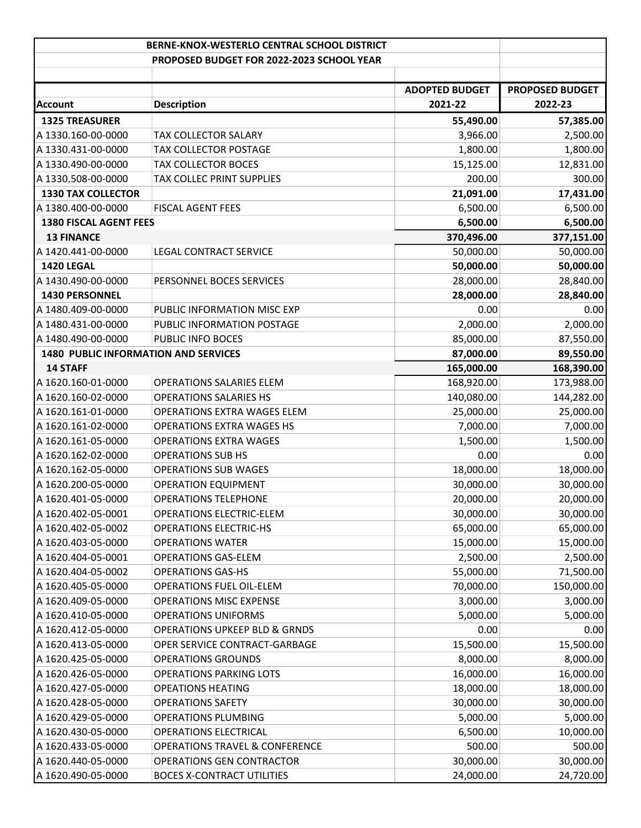|                                             | BERNE-KNOX-WESTERLO CENTRAL SCHOOL DISTRICT |                       |                        |
|---------------------------------------------|---------------------------------------------|-----------------------|------------------------|
|                                             | PROPOSED BUDGET FOR 2022-2023 SCHOOL YEAR   |                       |                        |
|                                             |                                             |                       |                        |
|                                             |                                             | <b>ADOPTED BUDGET</b> | <b>PROPOSED BUDGET</b> |
| <b>Account</b>                              | <b>Description</b>                          | 2021-22               | 2022-23                |
| <b>1325 TREASURER</b>                       |                                             | 55,490.00             | 57,385.00              |
| A 1330.160-00-0000                          | TAX COLLECTOR SALARY                        | 3,966.00              | 2,500.00               |
| A 1330.431-00-0000                          | TAX COLLECTOR POSTAGE                       | 1,800.00              | 1,800.00               |
| A 1330.490-00-0000                          | <b>TAX COLLECTOR BOCES</b>                  | 15,125.00             | 12,831.00              |
| A 1330.508-00-0000                          | TAX COLLEC PRINT SUPPLIES                   | 200.00                | 300.00                 |
| <b>1330 TAX COLLECTOR</b>                   |                                             | 21,091.00             | 17,431.00              |
| A 1380.400-00-0000                          | <b>FISCAL AGENT FEES</b>                    | 6,500.00              | 6,500.00               |
| <b>1380 FISCAL AGENT FEES</b>               |                                             | 6,500.00              | 6,500.00               |
| <b>13 FINANCE</b>                           |                                             | 370,496.00            | 377,151.00             |
| A 1420.441-00-0000                          | <b>LEGAL CONTRACT SERVICE</b>               | 50,000.00             | 50,000.00              |
| 1420 LEGAL                                  |                                             | 50,000.00             | 50,000.00              |
| A 1430.490-00-0000                          | PERSONNEL BOCES SERVICES                    | 28,000.00             | 28,840.00              |
| 1430 PERSONNEL                              |                                             | 28,000.00             | 28,840.00              |
| A 1480.409-00-0000                          | PUBLIC INFORMATION MISC EXP                 | 0.00                  | 0.00                   |
| A 1480.431-00-0000                          | PUBLIC INFORMATION POSTAGE                  | 2,000.00              | 2,000.00               |
| A 1480.490-00-0000                          | PUBLIC INFO BOCES                           | 85,000.00             | 87,550.00              |
| <b>1480 PUBLIC INFORMATION AND SERVICES</b> |                                             | 87,000.00             | 89,550.00              |
| <b>14 STAFF</b>                             |                                             | 165,000.00            | 168,390.00             |
| A 1620.160-01-0000                          | <b>OPERATIONS SALARIES ELEM</b>             | 168,920.00            | 173,988.00             |
| A 1620.160-02-0000                          | <b>OPERATIONS SALARIES HS</b>               | 140,080.00            | 144,282.00             |
| A 1620.161-01-0000                          | OPERATIONS EXTRA WAGES ELEM                 | 25,000.00             | 25,000.00              |
| A 1620.161-02-0000                          | <b>OPERATIONS EXTRA WAGES HS</b>            | 7,000.00              | 7,000.00               |
| A 1620.161-05-0000                          | <b>OPERATIONS EXTRA WAGES</b>               | 1,500.00              | 1,500.00               |
| A 1620.162-02-0000                          | <b>OPERATIONS SUB HS</b>                    | 0.00                  | 0.00                   |
| A 1620.162-05-0000                          | <b>OPERATIONS SUB WAGES</b>                 | 18,000.00             | 18,000.00              |
| A 1620.200-05-0000                          | <b>OPERATION EQUIPMENT</b>                  | 30,000.00             | 30,000.00              |
| A 1620.401-05-0000                          | <b>OPERATIONS TELEPHONE</b>                 | 20,000.00             | 20,000.00              |
| A 1620.402-05-0001                          | <b>OPERATIONS ELECTRIC-ELEM</b>             | 30,000.00             | 30,000.00              |
| A 1620.402-05-0002                          | <b>OPERATIONS ELECTRIC-HS</b>               | 65,000.00             | 65,000.00              |
| A 1620.403-05-0000                          | <b>OPERATIONS WATER</b>                     | 15,000.00             | 15,000.00              |
| A 1620.404-05-0001                          | <b>OPERATIONS GAS-ELEM</b>                  | 2,500.00              | 2,500.00               |
| A 1620.404-05-0002                          | <b>OPERATIONS GAS-HS</b>                    | 55,000.00             | 71,500.00              |
| A 1620.405-05-0000                          | OPERATIONS FUEL OIL-ELEM                    | 70,000.00             | 150,000.00             |
| A 1620.409-05-0000                          | <b>OPERATIONS MISC EXPENSE</b>              | 3,000.00              | 3,000.00               |
| A 1620.410-05-0000                          | <b>OPERATIONS UNIFORMS</b>                  | 5,000.00              | 5,000.00               |
| A 1620.412-05-0000                          | <b>OPERATIONS UPKEEP BLD &amp; GRNDS</b>    | 0.00                  | 0.00                   |
| A 1620.413-05-0000                          | OPER SERVICE CONTRACT-GARBAGE               | 15,500.00             | 15,500.00              |
| A 1620.425-05-0000                          | <b>OPERATIONS GROUNDS</b>                   | 8,000.00              | 8,000.00               |
| A 1620.426-05-0000                          | <b>OPERATIONS PARKING LOTS</b>              | 16,000.00             | 16,000.00              |
| A 1620.427-05-0000                          | <b>OPEATIONS HEATING</b>                    | 18,000.00             | 18,000.00              |
| A 1620.428-05-0000                          | <b>OPERATIONS SAFETY</b>                    | 30,000.00             | 30,000.00              |
| A 1620.429-05-0000                          | <b>OPERATIONS PLUMBING</b>                  | 5,000.00              | 5,000.00               |
| A 1620.430-05-0000                          | OPERATIONS ELECTRICAL                       | 6,500.00              | 10,000.00              |
| A 1620.433-05-0000                          | <b>OPERATIONS TRAVEL &amp; CONFERENCE</b>   | 500.00                | 500.00                 |
| A 1620.440-05-0000                          | OPERATIONS GEN CONTRACTOR                   | 30,000.00             | 30,000.00              |
| A 1620.490-05-0000                          | <b>BOCES X-CONTRACT UTILITIES</b>           | 24,000.00             | 24,720.00              |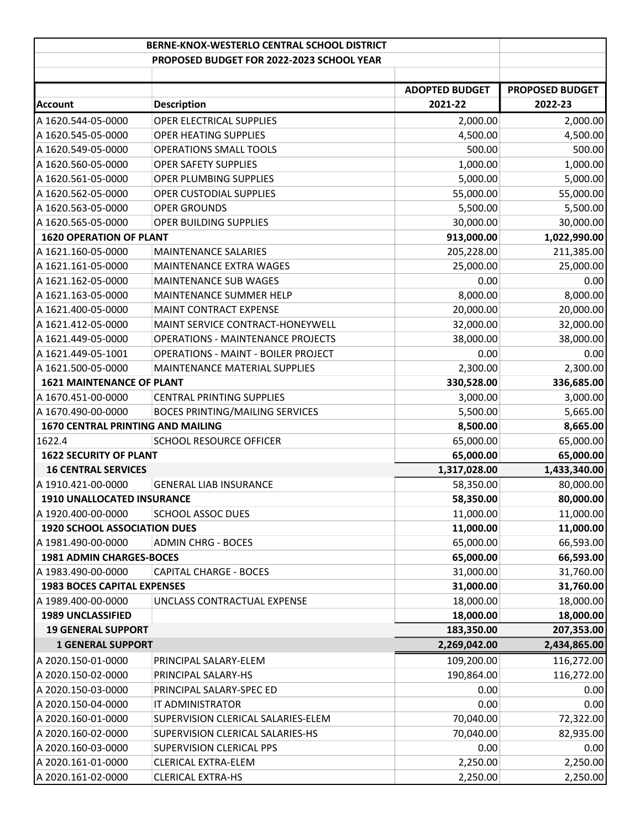|                                     | BERNE-KNOX-WESTERLO CENTRAL SCHOOL DISTRICT |                       |                        |
|-------------------------------------|---------------------------------------------|-----------------------|------------------------|
|                                     | PROPOSED BUDGET FOR 2022-2023 SCHOOL YEAR   |                       |                        |
|                                     |                                             |                       |                        |
|                                     |                                             | <b>ADOPTED BUDGET</b> | <b>PROPOSED BUDGET</b> |
| Account                             | <b>Description</b>                          | 2021-22               | 2022-23                |
| A 1620.544-05-0000                  | OPER ELECTRICAL SUPPLIES                    | 2,000.00              | 2,000.00               |
| A 1620.545-05-0000                  | OPER HEATING SUPPLIES                       | 4,500.00              | 4,500.00               |
| A 1620.549-05-0000                  | OPERATIONS SMALL TOOLS                      | 500.00                | 500.00                 |
| A 1620.560-05-0000                  | <b>OPER SAFETY SUPPLIES</b>                 | 1,000.00              | 1,000.00               |
| A 1620.561-05-0000                  | OPER PLUMBING SUPPLIES                      | 5,000.00              | 5,000.00               |
| A 1620.562-05-0000                  | OPER CUSTODIAL SUPPLIES                     | 55,000.00             | 55,000.00              |
| A 1620.563-05-0000                  | <b>OPER GROUNDS</b>                         | 5,500.00              | 5,500.00               |
| A 1620.565-05-0000                  | OPER BUILDING SUPPLIES                      | 30,000.00             | 30,000.00              |
| <b>1620 OPERATION OF PLANT</b>      |                                             | 913,000.00            | 1,022,990.00           |
| A 1621.160-05-0000                  | <b>MAINTENANCE SALARIES</b>                 | 205,228.00            | 211,385.00             |
| A 1621.161-05-0000                  | MAINTENANCE EXTRA WAGES                     | 25,000.00             | 25,000.00              |
| A 1621.162-05-0000                  | <b>MAINTENANCE SUB WAGES</b>                | 0.00                  | 0.00                   |
| A 1621.163-05-0000                  | MAINTENANCE SUMMER HELP                     | 8,000.00              | 8,000.00               |
| A 1621.400-05-0000                  | MAINT CONTRACT EXPENSE                      | 20,000.00             | 20,000.00              |
| A 1621.412-05-0000                  | MAINT SERVICE CONTRACT-HONEYWELL            | 32,000.00             | 32,000.00              |
| A 1621.449-05-0000                  | <b>OPERATIONS - MAINTENANCE PROJECTS</b>    | 38,000.00             | 38,000.00              |
| A 1621.449-05-1001                  | OPERATIONS - MAINT - BOILER PROJECT         | 0.00                  | 0.00                   |
| A 1621.500-05-0000                  | MAINTENANCE MATERIAL SUPPLIES               | 2,300.00              | 2,300.00               |
| <b>1621 MAINTENANCE OF PLANT</b>    |                                             | 330,528.00            | 336,685.00             |
| A 1670.451-00-0000                  | <b>CENTRAL PRINTING SUPPLIES</b>            | 3,000.00              | 3,000.00               |
| A 1670.490-00-0000                  | <b>BOCES PRINTING/MAILING SERVICES</b>      | 5,500.00              | 5,665.00               |
| 1670 CENTRAL PRINTING AND MAILING   |                                             | 8,500.00              | 8,665.00               |
| 1622.4                              | SCHOOL RESOURCE OFFICER                     | 65,000.00             | 65,000.00              |
| <b>1622 SECURITY OF PLANT</b>       |                                             | 65,000.00             | 65,000.00              |
| <b>16 CENTRAL SERVICES</b>          |                                             | 1,317,028.00          | 1,433,340.00           |
| A 1910.421-00-0000                  | <b>GENERAL LIAB INSURANCE</b>               | 58,350.00             | 80,000.00              |
| 1910 UNALLOCATED INSURANCE          |                                             | 58,350.00             | 80,000.00              |
| A 1920.400-00-0000                  | <b>SCHOOL ASSOC DUES</b>                    | 11,000.00             | 11,000.00              |
| <b>1920 SCHOOL ASSOCIATION DUES</b> |                                             | 11,000.00             | 11,000.00              |
| A 1981.490-00-0000                  | <b>ADMIN CHRG - BOCES</b>                   | 65,000.00             | 66,593.00              |
| <b>1981 ADMIN CHARGES-BOCES</b>     |                                             | 65,000.00             | 66,593.00              |
| A 1983.490-00-0000                  | <b>CAPITAL CHARGE - BOCES</b>               | 31,000.00             | 31,760.00              |
| <b>1983 BOCES CAPITAL EXPENSES</b>  |                                             | 31,000.00             | 31,760.00              |
| A 1989.400-00-0000                  | UNCLASS CONTRACTUAL EXPENSE                 | 18,000.00             | 18,000.00              |
| 1989 UNCLASSIFIED                   |                                             | 18,000.00             | 18,000.00              |
| <b>19 GENERAL SUPPORT</b>           |                                             | 183,350.00            | 207,353.00             |
| <b>1 GENERAL SUPPORT</b>            |                                             | 2,269,042.00          | 2,434,865.00           |
| A 2020.150-01-0000                  | PRINCIPAL SALARY-ELEM                       | 109,200.00            | 116,272.00             |
| A 2020.150-02-0000                  | PRINCIPAL SALARY-HS                         | 190,864.00            | 116,272.00             |
| A 2020.150-03-0000                  | PRINCIPAL SALARY-SPEC ED                    | 0.00                  | 0.00                   |
| A 2020.150-04-0000                  | IT ADMINISTRATOR                            | 0.00                  | 0.00                   |
| A 2020.160-01-0000                  | SUPERVISION CLERICAL SALARIES-ELEM          | 70,040.00             | 72,322.00              |
| A 2020.160-02-0000                  | SUPERVISION CLERICAL SALARIES-HS            | 70,040.00             | 82,935.00              |
| A 2020.160-03-0000                  | SUPERVISION CLERICAL PPS                    | 0.00                  | 0.00                   |
| A 2020.161-01-0000                  | CLERICAL EXTRA-ELEM                         | 2,250.00              | 2,250.00               |
| A 2020.161-02-0000                  | <b>CLERICAL EXTRA-HS</b>                    | 2,250.00              | 2,250.00               |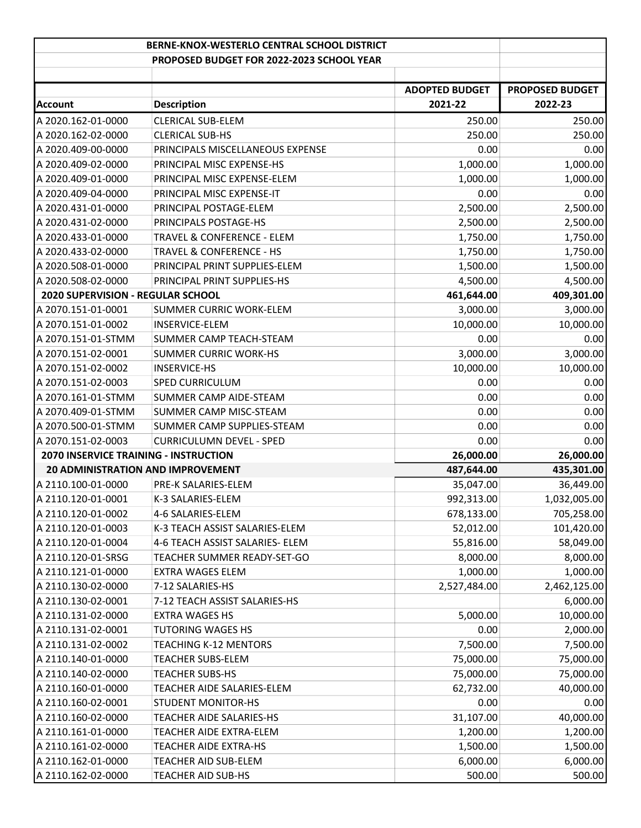|                                              | <b>BERNE-KNOX-WESTERLO CENTRAL SCHOOL DISTRICT</b> |                       |                        |
|----------------------------------------------|----------------------------------------------------|-----------------------|------------------------|
|                                              | PROPOSED BUDGET FOR 2022-2023 SCHOOL YEAR          |                       |                        |
|                                              |                                                    |                       |                        |
|                                              |                                                    | <b>ADOPTED BUDGET</b> | <b>PROPOSED BUDGET</b> |
| <b>Account</b>                               | <b>Description</b>                                 | 2021-22               | 2022-23                |
| A 2020.162-01-0000                           | <b>CLERICAL SUB-ELEM</b>                           | 250.00                | 250.00                 |
| A 2020.162-02-0000                           | <b>CLERICAL SUB-HS</b>                             | 250.00                | 250.00                 |
| A 2020.409-00-0000                           | PRINCIPALS MISCELLANEOUS EXPENSE                   | 0.00                  | 0.00                   |
| A 2020.409-02-0000                           | PRINCIPAL MISC EXPENSE-HS                          | 1,000.00              | 1,000.00               |
| A 2020.409-01-0000                           | PRINCIPAL MISC EXPENSE-ELEM                        | 1,000.00              | 1,000.00               |
| A 2020.409-04-0000                           | PRINCIPAL MISC EXPENSE-IT                          | 0.00                  | 0.00                   |
| A 2020.431-01-0000                           | PRINCIPAL POSTAGE-ELEM                             | 2,500.00              | 2,500.00               |
| A 2020.431-02-0000                           | PRINCIPALS POSTAGE-HS                              | 2,500.00              | 2,500.00               |
| A 2020.433-01-0000                           | TRAVEL & CONFERENCE - ELEM                         | 1,750.00              | 1,750.00               |
| A 2020.433-02-0000                           | <b>TRAVEL &amp; CONFERENCE - HS</b>                | 1,750.00              | 1,750.00               |
| A 2020.508-01-0000                           | PRINCIPAL PRINT SUPPLIES-ELEM                      | 1,500.00              | 1,500.00               |
| A 2020.508-02-0000                           | PRINCIPAL PRINT SUPPLIES-HS                        | 4,500.00              | 4,500.00               |
| <b>2020 SUPERVISION - REGULAR SCHOOL</b>     |                                                    | 461,644.00            | 409,301.00             |
| A 2070.151-01-0001                           | <b>SUMMER CURRIC WORK-ELEM</b>                     | 3,000.00              | 3,000.00               |
| A 2070.151-01-0002                           | <b>INSERVICE-ELEM</b>                              | 10,000.00             | 10,000.00              |
| A 2070.151-01-STMM                           | SUMMER CAMP TEACH-STEAM                            | 0.00                  | 0.00                   |
| A 2070.151-02-0001                           | <b>SUMMER CURRIC WORK-HS</b>                       | 3,000.00              | 3,000.00               |
| A 2070.151-02-0002                           | <b>INSERVICE-HS</b>                                | 10,000.00             | 10,000.00              |
| A 2070.151-02-0003                           | <b>SPED CURRICULUM</b>                             | 0.00                  | 0.00                   |
| A 2070.161-01-STMM                           | SUMMER CAMP AIDE-STEAM                             | 0.00                  | 0.00                   |
| A 2070.409-01-STMM                           | SUMMER CAMP MISC-STEAM                             | 0.00                  | 0.00                   |
| A 2070.500-01-STMM                           | SUMMER CAMP SUPPLIES-STEAM                         | 0.00                  | 0.00                   |
| A 2070.151-02-0003                           | <b>CURRICULUMN DEVEL - SPED</b>                    | 0.00                  | 0.00                   |
| <b>2070 INSERVICE TRAINING - INSTRUCTION</b> |                                                    | 26,000.00             | 26,000.00              |
| <b>20 ADMINISTRATION AND IMPROVEMENT</b>     |                                                    | 487,644.00            | 435,301.00             |
| A 2110.100-01-0000                           | PRE-K SALARIES-ELEM                                | 35,047.00             | 36,449.00              |
| A 2110.120-01-0001                           | K-3 SALARIES-ELEM                                  | 992,313.00            | 1,032,005.00           |
| A 2110.120-01-0002                           | 4-6 SALARIES-ELEM                                  | 678,133.00            | 705,258.00             |
| A 2110.120-01-0003                           | K-3 TEACH ASSIST SALARIES-ELEM                     | 52,012.00             | 101,420.00             |
| A 2110.120-01-0004                           | 4-6 TEACH ASSIST SALARIES- ELEM                    | 55,816.00             | 58,049.00              |
| A 2110.120-01-SRSG                           | TEACHER SUMMER READY-SET-GO                        | 8,000.00              | 8,000.00               |
| A 2110.121-01-0000                           | EXTRA WAGES ELEM                                   | 1,000.00              | 1,000.00               |
| A 2110.130-02-0000                           | 7-12 SALARIES-HS                                   | 2,527,484.00          | 2,462,125.00           |
| A 2110.130-02-0001                           | 7-12 TEACH ASSIST SALARIES-HS                      |                       | 6,000.00               |
| A 2110.131-02-0000                           | <b>EXTRA WAGES HS</b>                              | 5,000.00              | 10,000.00              |
| A 2110.131-02-0001                           | <b>TUTORING WAGES HS</b>                           | 0.00                  | 2,000.00               |
| A 2110.131-02-0002                           | <b>TEACHING K-12 MENTORS</b>                       | 7,500.00              | 7,500.00               |
| A 2110.140-01-0000                           | <b>TEACHER SUBS-ELEM</b>                           | 75,000.00             | 75,000.00              |
| A 2110.140-02-0000                           | <b>TEACHER SUBS-HS</b>                             | 75,000.00             | 75,000.00              |
| A 2110.160-01-0000                           | TEACHER AIDE SALARIES-ELEM                         | 62,732.00             | 40,000.00              |
| A 2110.160-02-0001                           | <b>STUDENT MONITOR-HS</b>                          | 0.00                  | 0.00                   |
| A 2110.160-02-0000                           | <b>TEACHER AIDE SALARIES-HS</b>                    | 31,107.00             | 40,000.00              |
| A 2110.161-01-0000                           | TEACHER AIDE EXTRA-ELEM                            | 1,200.00              | 1,200.00               |
| A 2110.161-02-0000                           | TEACHER AIDE EXTRA-HS                              | 1,500.00              | 1,500.00               |
| A 2110.162-01-0000                           | TEACHER AID SUB-ELEM                               | 6,000.00              | 6,000.00               |
| A 2110.162-02-0000                           | TEACHER AID SUB-HS                                 | 500.00                | 500.00                 |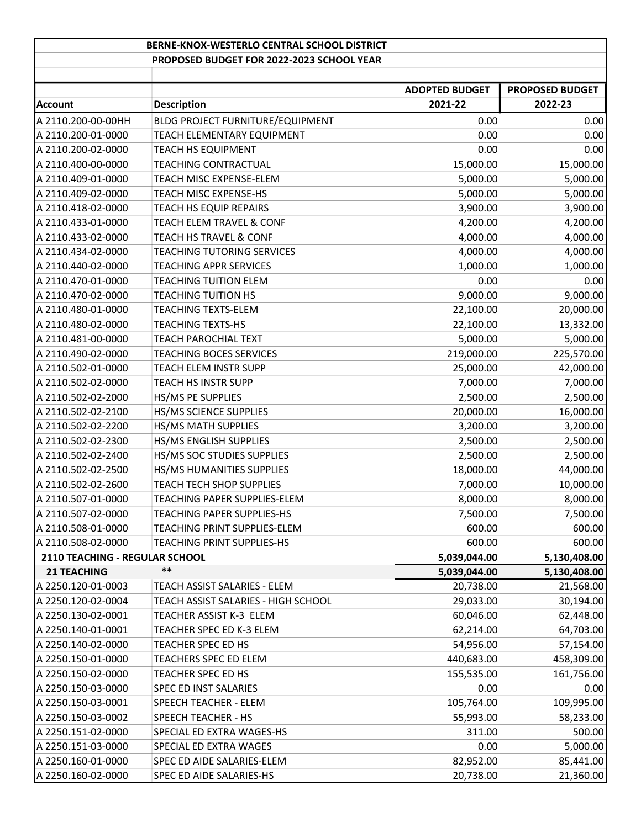| BERNE-KNOX-WESTERLO CENTRAL SCHOOL DISTRICT |                                            |                                  |                                   |
|---------------------------------------------|--------------------------------------------|----------------------------------|-----------------------------------|
|                                             | PROPOSED BUDGET FOR 2022-2023 SCHOOL YEAR  |                                  |                                   |
|                                             |                                            |                                  |                                   |
|                                             |                                            | <b>ADOPTED BUDGET</b><br>2021-22 | <b>PROPOSED BUDGET</b><br>2022-23 |
| <b>Account</b>                              | <b>Description</b>                         |                                  |                                   |
| A 2110.200-00-00HH                          | BLDG PROJECT FURNITURE/EQUIPMENT           | 0.00                             | 0.00                              |
| A 2110.200-01-0000                          | TEACH ELEMENTARY EQUIPMENT                 | 0.00                             | 0.00                              |
| A 2110.200-02-0000                          | <b>TEACH HS EQUIPMENT</b>                  | 0.00                             | 0.00                              |
| A 2110.400-00-0000                          | TEACHING CONTRACTUAL                       | 15,000.00                        | 15,000.00                         |
| A 2110.409-01-0000                          | TEACH MISC EXPENSE-ELEM                    | 5,000.00                         | 5,000.00                          |
| A 2110.409-02-0000                          | TEACH MISC EXPENSE-HS                      | 5,000.00                         | 5,000.00                          |
| A 2110.418-02-0000                          | <b>TEACH HS EQUIP REPAIRS</b>              | 3,900.00                         | 3,900.00                          |
| A 2110.433-01-0000                          | TEACH ELEM TRAVEL & CONF                   | 4,200.00                         | 4,200.00                          |
| A 2110.433-02-0000                          | TEACH HS TRAVEL & CONF                     | 4,000.00                         | 4,000.00                          |
| A 2110.434-02-0000                          | <b>TEACHING TUTORING SERVICES</b>          | 4,000.00                         | 4,000.00                          |
| A 2110.440-02-0000                          | <b>TEACHING APPR SERVICES</b>              | 1,000.00                         | 1,000.00                          |
| A 2110.470-01-0000                          | <b>TEACHING TUITION ELEM</b>               | 0.00                             | 0.00                              |
| A 2110.470-02-0000                          | <b>TEACHING TUITION HS</b>                 | 9,000.00                         | 9,000.00                          |
| A 2110.480-01-0000                          | <b>TEACHING TEXTS-ELEM</b>                 | 22,100.00                        | 20,000.00                         |
| A 2110.480-02-0000                          | <b>TEACHING TEXTS-HS</b>                   | 22,100.00                        | 13,332.00                         |
| A 2110.481-00-0000                          | <b>TEACH PAROCHIAL TEXT</b>                | 5,000.00                         | 5,000.00                          |
| A 2110.490-02-0000                          | <b>TEACHING BOCES SERVICES</b>             | 219,000.00                       | 225,570.00                        |
| A 2110.502-01-0000                          | TEACH ELEM INSTR SUPP                      | 25,000.00                        | 42,000.00                         |
| A 2110.502-02-0000                          | <b>TEACH HS INSTR SUPP</b>                 | 7,000.00                         | 7,000.00                          |
| A 2110.502-02-2000                          | HS/MS PE SUPPLIES                          | 2,500.00                         | 2,500.00                          |
| A 2110.502-02-2100                          | HS/MS SCIENCE SUPPLIES                     | 20,000.00                        | 16,000.00                         |
| A 2110.502-02-2200                          | HS/MS MATH SUPPLIES                        | 3,200.00                         | 3,200.00                          |
| A 2110.502-02-2300                          | HS/MS ENGLISH SUPPLIES                     | 2,500.00                         | 2,500.00                          |
| A 2110.502-02-2400                          | HS/MS SOC STUDIES SUPPLIES                 | 2,500.00                         | 2,500.00                          |
| A 2110.502-02-2500                          | HS/MS HUMANITIES SUPPLIES                  | 18,000.00                        | 44,000.00                         |
| A 2110.502-02-2600                          | <b>TEACH TECH SHOP SUPPLIES</b>            | 7,000.00                         | 10,000.00                         |
| A 2110.507-01-0000                          | TEACHING PAPER SUPPLIES-ELEM               | 8,000.00                         | 8,000.00                          |
| A 2110.507-02-0000                          | <b>TEACHING PAPER SUPPLIES-HS</b>          | 7,500.00                         | 7,500.00                          |
| A 2110.508-01-0000                          | TEACHING PRINT SUPPLIES-ELEM               | 600.00                           | 600.00                            |
| A 2110.508-02-0000                          | <b>TEACHING PRINT SUPPLIES-HS</b>          | 600.00                           | 600.00                            |
| 2110 TEACHING - REGULAR SCHOOL              |                                            | 5,039,044.00                     | 5,130,408.00                      |
| <b>21 TEACHING</b>                          | $***$                                      | 5,039,044.00                     | 5,130,408.00                      |
| A 2250.120-01-0003                          | TEACH ASSIST SALARIES - ELEM               | 20,738.00                        | 21,568.00                         |
| A 2250.120-02-0004                          | <b>TEACH ASSIST SALARIES - HIGH SCHOOL</b> | 29,033.00                        | 30,194.00                         |
| A 2250.130-02-0001                          | TEACHER ASSIST K-3 ELEM                    | 60,046.00                        | 62,448.00                         |
| A 2250.140-01-0001                          | TEACHER SPEC ED K-3 ELEM                   | 62,214.00                        | 64,703.00                         |
| A 2250.140-02-0000                          | TEACHER SPEC ED HS                         | 54,956.00                        | 57,154.00                         |
| A 2250.150-01-0000                          | TEACHERS SPEC ED ELEM                      | 440,683.00                       | 458,309.00                        |
| A 2250.150-02-0000                          | TEACHER SPEC ED HS                         | 155,535.00                       | 161,756.00                        |
| A 2250.150-03-0000                          | SPEC ED INST SALARIES                      | 0.00                             | 0.00                              |
| A 2250.150-03-0001                          | SPEECH TEACHER - ELEM                      | 105,764.00                       | 109,995.00                        |
| A 2250.150-03-0002                          | SPEECH TEACHER - HS                        | 55,993.00                        | 58,233.00                         |
| A 2250.151-02-0000                          | SPECIAL ED EXTRA WAGES-HS                  | 311.00                           | 500.00                            |
| A 2250.151-03-0000                          | SPECIAL ED EXTRA WAGES                     | 0.00                             | 5,000.00                          |
| A 2250.160-01-0000                          | SPEC ED AIDE SALARIES-ELEM                 | 82,952.00                        | 85,441.00                         |
| A 2250.160-02-0000                          | SPEC ED AIDE SALARIES-HS                   | 20,738.00                        | 21,360.00                         |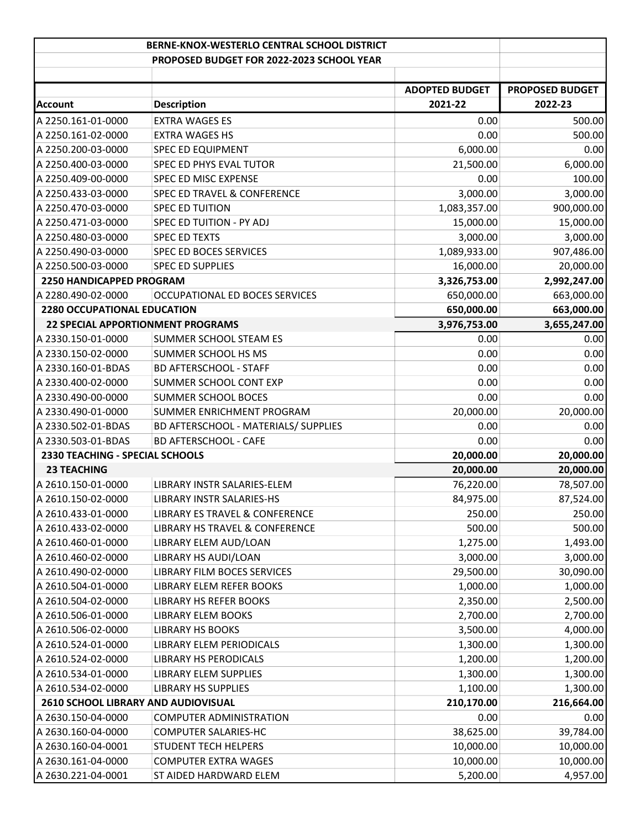|                                          | BERNE-KNOX-WESTERLO CENTRAL SCHOOL DISTRICT |                       |                        |
|------------------------------------------|---------------------------------------------|-----------------------|------------------------|
|                                          | PROPOSED BUDGET FOR 2022-2023 SCHOOL YEAR   |                       |                        |
|                                          |                                             |                       |                        |
|                                          |                                             | <b>ADOPTED BUDGET</b> | <b>PROPOSED BUDGET</b> |
| Account                                  | <b>Description</b>                          | 2021-22               | 2022-23                |
| A 2250.161-01-0000                       | <b>EXTRA WAGES ES</b>                       | 0.00                  | 500.00                 |
| A 2250.161-02-0000                       | <b>EXTRA WAGES HS</b>                       | 0.00                  | 500.00                 |
| A 2250.200-03-0000                       | <b>SPEC ED EQUIPMENT</b>                    | 6,000.00              | 0.00                   |
| A 2250.400-03-0000                       | SPEC ED PHYS EVAL TUTOR                     | 21,500.00             | 6,000.00               |
| A 2250.409-00-0000                       | SPEC ED MISC EXPENSE                        | 0.00                  | 100.00                 |
| A 2250.433-03-0000                       | SPEC ED TRAVEL & CONFERENCE                 | 3,000.00              | 3,000.00               |
| A 2250.470-03-0000                       | <b>SPEC ED TUITION</b>                      | 1,083,357.00          | 900,000.00             |
| A 2250.471-03-0000                       | SPEC ED TUITION - PY ADJ                    | 15,000.00             | 15,000.00              |
| A 2250.480-03-0000                       | <b>SPEC ED TEXTS</b>                        | 3,000.00              | 3,000.00               |
| A 2250.490-03-0000                       | <b>SPEC ED BOCES SERVICES</b>               | 1,089,933.00          | 907,486.00             |
| A 2250.500-03-0000                       | <b>SPEC ED SUPPLIES</b>                     | 16,000.00             | 20,000.00              |
| 2250 HANDICAPPED PROGRAM                 |                                             | 3,326,753.00          | 2,992,247.00           |
| A 2280.490-02-0000                       | OCCUPATIONAL ED BOCES SERVICES              | 650,000.00            | 663,000.00             |
| <b>2280 OCCUPATIONAL EDUCATION</b>       |                                             | 650,000.00            | 663,000.00             |
| <b>22 SPECIAL APPORTIONMENT PROGRAMS</b> |                                             | 3,976,753.00          | 3,655,247.00           |
| A 2330.150-01-0000                       | SUMMER SCHOOL STEAM ES                      | 0.00                  | 0.00                   |
| A 2330.150-02-0000                       | SUMMER SCHOOL HS MS                         | 0.00                  | 0.00                   |
| A 2330.160-01-BDAS                       | <b>BD AFTERSCHOOL - STAFF</b>               | 0.00                  | 0.00                   |
| A 2330.400-02-0000                       | SUMMER SCHOOL CONT EXP                      | 0.00                  | 0.00                   |
| A 2330.490-00-0000                       | SUMMER SCHOOL BOCES                         | 0.00                  | 0.00                   |
| A 2330.490-01-0000                       | SUMMER ENRICHMENT PROGRAM                   | 20,000.00             | 20,000.00              |
| A 2330.502-01-BDAS                       | BD AFTERSCHOOL - MATERIALS/ SUPPLIES        | 0.00                  | 0.00                   |
| A 2330.503-01-BDAS                       | <b>BD AFTERSCHOOL - CAFE</b>                | 0.00                  | 0.00                   |
| 2330 TEACHING - SPECIAL SCHOOLS          |                                             | 20,000.00             | 20,000.00              |
| <b>23 TEACHING</b>                       |                                             | 20,000.00             | 20,000.00              |
| A 2610.150-01-0000                       | LIBRARY INSTR SALARIES-ELEM                 | 76,220.00             | 78,507.00              |
| A 2610.150-02-0000                       | LIBRARY INSTR SALARIES-HS                   | 84,975.00             | 87,524.00              |
| A 2610.433-01-0000                       | LIBRARY ES TRAVEL & CONFERENCE              | 250.00                | 250.00                 |
| A 2610.433-02-0000                       | <b>LIBRARY HS TRAVEL &amp; CONFERENCE</b>   | 500.00                | 500.00                 |
| A 2610.460-01-0000                       | LIBRARY ELEM AUD/LOAN                       | 1,275.00              | 1,493.00               |
| A 2610.460-02-0000                       | LIBRARY HS AUDI/LOAN                        | 3,000.00              | 3,000.00               |
| A 2610.490-02-0000                       | LIBRARY FILM BOCES SERVICES                 | 29,500.00             | 30,090.00              |
| A 2610.504-01-0000                       | LIBRARY ELEM REFER BOOKS                    | 1,000.00              | 1,000.00               |
| A 2610.504-02-0000                       | <b>LIBRARY HS REFER BOOKS</b>               | 2,350.00              | 2,500.00               |
| A 2610.506-01-0000                       | LIBRARY ELEM BOOKS                          | 2,700.00              | 2,700.00               |
| A 2610.506-02-0000                       | <b>LIBRARY HS BOOKS</b>                     | 3,500.00              | 4,000.00               |
| A 2610.524-01-0000                       | LIBRARY ELEM PERIODICALS                    | 1,300.00              | 1,300.00               |
| A 2610.524-02-0000                       | <b>LIBRARY HS PERODICALS</b>                | 1,200.00              | 1,200.00               |
| A 2610.534-01-0000                       | LIBRARY ELEM SUPPLIES                       | 1,300.00              | 1,300.00               |
| A 2610.534-02-0000                       | <b>LIBRARY HS SUPPLIES</b>                  | 1,100.00              | 1,300.00               |
| 2610 SCHOOL LIBRARY AND AUDIOVISUAL      |                                             | 210,170.00            | 216,664.00             |
| A 2630.150-04-0000                       | <b>COMPUTER ADMINISTRATION</b>              | 0.00                  | 0.00                   |
| A 2630.160-04-0000                       | COMPUTER SALARIES-HC                        | 38,625.00             | 39,784.00              |
| A 2630.160-04-0001                       | STUDENT TECH HELPERS                        | 10,000.00             | 10,000.00              |
| A 2630.161-04-0000                       | <b>COMPUTER EXTRA WAGES</b>                 | 10,000.00             | 10,000.00              |
| A 2630.221-04-0001                       | ST AIDED HARDWARD ELEM                      | 5,200.00              | 4,957.00               |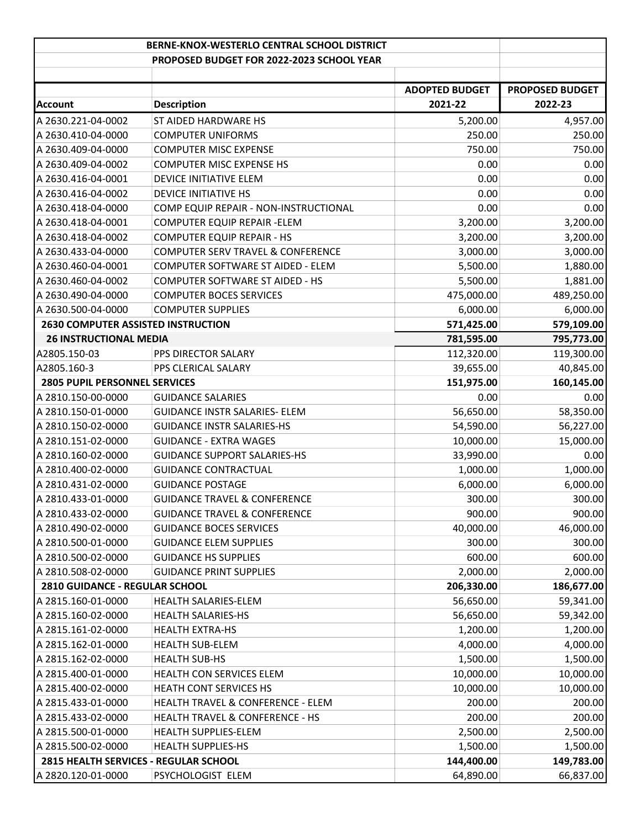|                                           | BERNE-KNOX-WESTERLO CENTRAL SCHOOL DISTRICT  |                       |                        |
|-------------------------------------------|----------------------------------------------|-----------------------|------------------------|
|                                           | PROPOSED BUDGET FOR 2022-2023 SCHOOL YEAR    |                       |                        |
|                                           |                                              |                       |                        |
|                                           |                                              | <b>ADOPTED BUDGET</b> | <b>PROPOSED BUDGET</b> |
| Account                                   | <b>Description</b>                           | 2021-22               | 2022-23                |
| A 2630.221-04-0002                        | ST AIDED HARDWARE HS                         | 5,200.00              | 4,957.00               |
| A 2630.410-04-0000                        | <b>COMPUTER UNIFORMS</b>                     | 250.00                | 250.00                 |
| A 2630.409-04-0000                        | <b>COMPUTER MISC EXPENSE</b>                 | 750.00                | 750.00                 |
| A 2630.409-04-0002                        | <b>COMPUTER MISC EXPENSE HS</b>              | 0.00                  | 0.00                   |
| A 2630.416-04-0001                        | DEVICE INITIATIVE ELEM                       | 0.00                  | 0.00                   |
| A 2630.416-04-0002                        | <b>DEVICE INITIATIVE HS</b>                  | 0.00                  | 0.00                   |
| A 2630.418-04-0000                        | COMP EQUIP REPAIR - NON-INSTRUCTIONAL        | 0.00                  | 0.00                   |
| A 2630.418-04-0001                        | COMPUTER EQUIP REPAIR - ELEM                 | 3,200.00              | 3,200.00               |
| A 2630.418-04-0002                        | <b>COMPUTER EQUIP REPAIR - HS</b>            | 3,200.00              | 3,200.00               |
| A 2630.433-04-0000                        | COMPUTER SERV TRAVEL & CONFERENCE            | 3,000.00              | 3,000.00               |
| A 2630.460-04-0001                        | COMPUTER SOFTWARE ST AIDED - ELEM            | 5,500.00              | 1,880.00               |
| A 2630.460-04-0002                        | <b>COMPUTER SOFTWARE ST AIDED - HS</b>       | 5,500.00              | 1,881.00               |
| A 2630.490-04-0000                        | <b>COMPUTER BOCES SERVICES</b>               | 475,000.00            | 489,250.00             |
| A 2630.500-04-0000                        | <b>COMPUTER SUPPLIES</b>                     | 6,000.00              | 6,000.00               |
| <b>2630 COMPUTER ASSISTED INSTRUCTION</b> |                                              | 571,425.00            | 579,109.00             |
| <b>26 INSTRUCTIONAL MEDIA</b>             |                                              | 781,595.00            | 795,773.00             |
| A2805.150-03                              | PPS DIRECTOR SALARY                          | 112,320.00            | 119,300.00             |
| A2805.160-3                               | PPS CLERICAL SALARY                          | 39,655.00             | 40,845.00              |
| <b>2805 PUPIL PERSONNEL SERVICES</b>      |                                              | 151,975.00            | 160,145.00             |
| A 2810.150-00-0000                        | <b>GUIDANCE SALARIES</b>                     | 0.00                  | 0.00                   |
| A 2810.150-01-0000                        | <b>GUIDANCE INSTR SALARIES- ELEM</b>         | 56,650.00             | 58,350.00              |
| A 2810.150-02-0000                        | <b>GUIDANCE INSTR SALARIES-HS</b>            | 54,590.00             | 56,227.00              |
| A 2810.151-02-0000                        | <b>GUIDANCE - EXTRA WAGES</b>                | 10,000.00             | 15,000.00              |
| A 2810.160-02-0000                        | <b>GUIDANCE SUPPORT SALARIES-HS</b>          | 33,990.00             | 0.00                   |
| A 2810.400-02-0000                        | <b>GUIDANCE CONTRACTUAL</b>                  | 1,000.00              | 1,000.00               |
| A 2810.431-02-0000                        | <b>GUIDANCE POSTAGE</b>                      | 6,000.00              | 6,000.00               |
| A 2810.433-01-0000                        | <b>GUIDANCE TRAVEL &amp; CONFERENCE</b>      | 300.00                | 300.00                 |
| A 2810.433-02-0000                        | <b>GUIDANCE TRAVEL &amp; CONFERENCE</b>      | 900.00                | 900.00                 |
| A 2810.490-02-0000                        | <b>GUIDANCE BOCES SERVICES</b>               | 40,000.00             | 46,000.00              |
| A 2810.500-01-0000                        | <b>GUIDANCE ELEM SUPPLIES</b>                | 300.00                | 300.00                 |
| A 2810.500-02-0000                        | <b>GUIDANCE HS SUPPLIES</b>                  | 600.00                | 600.00                 |
| A 2810.508-02-0000                        | <b>GUIDANCE PRINT SUPPLIES</b>               | 2,000.00              | 2,000.00               |
| 2810 GUIDANCE - REGULAR SCHOOL            |                                              | 206,330.00            | 186,677.00             |
| A 2815.160-01-0000                        | HEALTH SALARIES-ELEM                         | 56,650.00             | 59,341.00              |
| A 2815.160-02-0000                        | <b>HEALTH SALARIES-HS</b>                    | 56,650.00             | 59,342.00              |
| A 2815.161-02-0000                        | <b>HEALTH EXTRA-HS</b>                       | 1,200.00              | 1,200.00               |
| A 2815.162-01-0000                        | <b>HEALTH SUB-ELEM</b>                       | 4,000.00              | 4,000.00               |
| A 2815.162-02-0000                        | <b>HEALTH SUB-HS</b>                         | 1,500.00              | 1,500.00               |
| A 2815.400-01-0000                        | HEALTH CON SERVICES ELEM                     | 10,000.00             | 10,000.00              |
| A 2815.400-02-0000                        | <b>HEATH CONT SERVICES HS</b>                | 10,000.00             | 10,000.00              |
| A 2815.433-01-0000                        | <b>HEALTH TRAVEL &amp; CONFERENCE - ELEM</b> | 200.00                | 200.00                 |
| A 2815.433-02-0000                        | HEALTH TRAVEL & CONFERENCE - HS              | 200.00                | 200.00                 |
| A 2815.500-01-0000                        | HEALTH SUPPLIES-ELEM                         | 2,500.00              | 2,500.00               |
| A 2815.500-02-0000                        | <b>HEALTH SUPPLIES-HS</b>                    | 1,500.00              | 1,500.00               |
| 2815 HEALTH SERVICES - REGULAR SCHOOL     |                                              | 144,400.00            | 149,783.00             |
| A 2820.120-01-0000                        | PSYCHOLOGIST ELEM                            | 64,890.00             | 66,837.00              |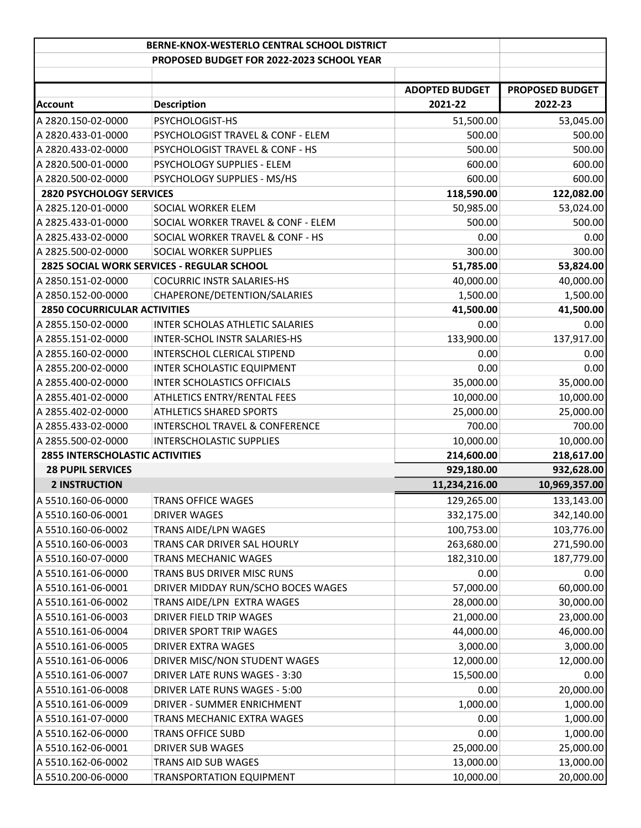|                                        | BERNE-KNOX-WESTERLO CENTRAL SCHOOL DISTRICT |                       |                        |
|----------------------------------------|---------------------------------------------|-----------------------|------------------------|
|                                        | PROPOSED BUDGET FOR 2022-2023 SCHOOL YEAR   |                       |                        |
|                                        |                                             | <b>ADOPTED BUDGET</b> | <b>PROPOSED BUDGET</b> |
| <b>Account</b>                         | <b>Description</b>                          | 2021-22               | 2022-23                |
| A 2820.150-02-0000                     | PSYCHOLOGIST-HS                             | 51,500.00             | 53,045.00              |
| A 2820.433-01-0000                     | PSYCHOLOGIST TRAVEL & CONF - ELEM           | 500.00                | 500.00                 |
| A 2820.433-02-0000                     | PSYCHOLOGIST TRAVEL & CONF - HS             | 500.00                | 500.00                 |
| A 2820.500-01-0000                     | PSYCHOLOGY SUPPLIES - ELEM                  | 600.00                | 600.00                 |
| A 2820.500-02-0000                     | PSYCHOLOGY SUPPLIES - MS/HS                 | 600.00                | 600.00                 |
| <b>2820 PSYCHOLOGY SERVICES</b>        |                                             | 118,590.00            | 122,082.00             |
| A 2825.120-01-0000                     | SOCIAL WORKER ELEM                          | 50,985.00             | 53,024.00              |
| A 2825.433-01-0000                     | SOCIAL WORKER TRAVEL & CONF - ELEM          | 500.00                | 500.00                 |
| A 2825.433-02-0000                     | SOCIAL WORKER TRAVEL & CONF - HS            | 0.00                  | 0.00                   |
| A 2825.500-02-0000                     | SOCIAL WORKER SUPPLIES                      | 300.00                | 300.00                 |
|                                        | 2825 SOCIAL WORK SERVICES - REGULAR SCHOOL  | 51,785.00             | 53,824.00              |
| A 2850.151-02-0000                     | <b>COCURRIC INSTR SALARIES-HS</b>           | 40,000.00             | 40,000.00              |
| A 2850.152-00-0000                     | CHAPERONE/DETENTION/SALARIES                | 1,500.00              | 1,500.00               |
| <b>2850 COCURRICULAR ACTIVITIES</b>    |                                             | 41,500.00             | 41,500.00              |
| A 2855.150-02-0000                     | INTER SCHOLAS ATHLETIC SALARIES             | 0.00                  | 0.00                   |
| A 2855.151-02-0000                     | INTER-SCHOL INSTR SALARIES-HS               | 133,900.00            | 137,917.00             |
| A 2855.160-02-0000                     | INTERSCHOL CLERICAL STIPEND                 | 0.00                  | 0.00                   |
| A 2855.200-02-0000                     | INTER SCHOLASTIC EQUIPMENT                  | 0.00                  | 0.00                   |
| A 2855.400-02-0000                     | <b>INTER SCHOLASTICS OFFICIALS</b>          | 35,000.00             | 35,000.00              |
| A 2855.401-02-0000                     | ATHLETICS ENTRY/RENTAL FEES                 | 10,000.00             | 10,000.00              |
| A 2855.402-02-0000                     | <b>ATHLETICS SHARED SPORTS</b>              | 25,000.00             | 25,000.00              |
| A 2855.433-02-0000                     | <b>INTERSCHOL TRAVEL &amp; CONFERENCE</b>   | 700.00                | 700.00                 |
| A 2855.500-02-0000                     | INTERSCHOLASTIC SUPPLIES                    | 10,000.00             | 10,000.00              |
| <b>2855 INTERSCHOLASTIC ACTIVITIES</b> |                                             | 214,600.00            | 218,617.00             |
| <b>28 PUPIL SERVICES</b>               |                                             | 929,180.00            | 932,628.00             |
| <b>2 INSTRUCTION</b>                   |                                             | 11,234,216.00         | 10,969,357.00          |
| A 5510.160-06-0000                     | <b>TRANS OFFICE WAGES</b>                   | 129,265.00            | 133,143.00             |
| A 5510.160-06-0001                     | DRIVER WAGES                                | 332,175.00            | 342,140.00             |
| A 5510.160-06-0002                     | TRANS AIDE/LPN WAGES                        | 100,753.00            | 103,776.00             |
| A 5510.160-06-0003                     | TRANS CAR DRIVER SAL HOURLY                 | 263,680.00            | 271,590.00             |
| A 5510.160-07-0000                     | TRANS MECHANIC WAGES                        | 182,310.00            | 187,779.00             |
| A 5510.161-06-0000                     | TRANS BUS DRIVER MISC RUNS                  | 0.00                  | 0.00                   |
| A 5510.161-06-0001                     | DRIVER MIDDAY RUN/SCHO BOCES WAGES          | 57,000.00             | 60,000.00              |
| A 5510.161-06-0002                     | TRANS AIDE/LPN EXTRA WAGES                  | 28,000.00             | 30,000.00              |
| A 5510.161-06-0003                     | DRIVER FIELD TRIP WAGES                     | 21,000.00             | 23,000.00              |
| A 5510.161-06-0004                     | DRIVER SPORT TRIP WAGES                     | 44,000.00             | 46,000.00              |
| A 5510.161-06-0005                     | DRIVER EXTRA WAGES                          | 3,000.00              | 3,000.00               |
| A 5510.161-06-0006                     | DRIVER MISC/NON STUDENT WAGES               | 12,000.00             | 12,000.00              |
| A 5510.161-06-0007                     | DRIVER LATE RUNS WAGES - 3:30               | 15,500.00             | 0.00                   |
| A 5510.161-06-0008                     | DRIVER LATE RUNS WAGES - 5:00               | 0.00                  | 20,000.00              |
| A 5510.161-06-0009                     | DRIVER - SUMMER ENRICHMENT                  | 1,000.00              | 1,000.00               |
| A 5510.161-07-0000                     | TRANS MECHANIC EXTRA WAGES                  | 0.00                  | 1,000.00               |
| A 5510.162-06-0000                     | <b>TRANS OFFICE SUBD</b>                    | 0.00                  | 1,000.00               |
| A 5510.162-06-0001                     | DRIVER SUB WAGES                            | 25,000.00             | 25,000.00              |
| A 5510.162-06-0002                     | TRANS AID SUB WAGES                         | 13,000.00             | 13,000.00              |
| A 5510.200-06-0000                     | <b>TRANSPORTATION EQUIPMENT</b>             | 10,000.00             | 20,000.00              |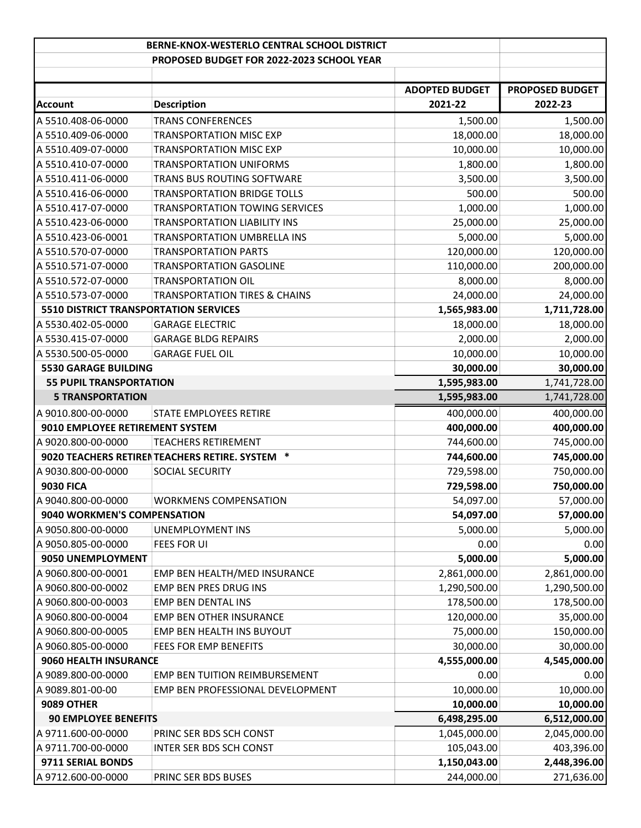|                                              | BERNE-KNOX-WESTERLO CENTRAL SCHOOL DISTRICT             |                       |                        |
|----------------------------------------------|---------------------------------------------------------|-----------------------|------------------------|
|                                              | PROPOSED BUDGET FOR 2022-2023 SCHOOL YEAR               |                       |                        |
|                                              |                                                         |                       |                        |
|                                              |                                                         | <b>ADOPTED BUDGET</b> | <b>PROPOSED BUDGET</b> |
| Account                                      | <b>Description</b>                                      | 2021-22               | 2022-23                |
| A 5510.408-06-0000                           | <b>TRANS CONFERENCES</b>                                | 1,500.00              | 1,500.00               |
| A 5510.409-06-0000                           | <b>TRANSPORTATION MISC EXP</b>                          | 18,000.00             | 18,000.00              |
| A 5510.409-07-0000                           | <b>TRANSPORTATION MISC EXP</b>                          | 10,000.00             | 10,000.00              |
| A 5510.410-07-0000                           | <b>TRANSPORTATION UNIFORMS</b>                          | 1,800.00              | 1,800.00               |
| A 5510.411-06-0000                           | TRANS BUS ROUTING SOFTWARE                              | 3,500.00              | 3,500.00               |
| A 5510.416-06-0000                           | <b>TRANSPORTATION BRIDGE TOLLS</b>                      | 500.00                | 500.00                 |
| A 5510.417-07-0000                           | <b>TRANSPORTATION TOWING SERVICES</b>                   | 1,000.00              | 1,000.00               |
| A 5510.423-06-0000                           | TRANSPORTATION LIABILITY INS                            | 25,000.00             | 25,000.00              |
| A 5510.423-06-0001                           | <b>TRANSPORTATION UMBRELLA INS</b>                      | 5,000.00              | 5,000.00               |
| A 5510.570-07-0000                           | <b>TRANSPORTATION PARTS</b>                             | 120,000.00            | 120,000.00             |
| A 5510.571-07-0000                           | <b>TRANSPORTATION GASOLINE</b>                          | 110,000.00            | 200,000.00             |
| A 5510.572-07-0000                           | <b>TRANSPORTATION OIL</b>                               | 8,000.00              | 8,000.00               |
| A 5510.573-07-0000                           | <b>TRANSPORTATION TIRES &amp; CHAINS</b>                | 24,000.00             | 24,000.00              |
| <b>5510 DISTRICT TRANSPORTATION SERVICES</b> |                                                         | 1,565,983.00          | 1,711,728.00           |
| A 5530.402-05-0000                           | <b>GARAGE ELECTRIC</b>                                  | 18,000.00             | 18,000.00              |
| A 5530.415-07-0000                           | <b>GARAGE BLDG REPAIRS</b>                              | 2,000.00              | 2,000.00               |
| A 5530.500-05-0000                           | <b>GARAGE FUEL OIL</b>                                  | 10,000.00             | 10,000.00              |
| <b>5530 GARAGE BUILDING</b>                  |                                                         | 30,000.00             | 30,000.00              |
| <b>55 PUPIL TRANSPORTATION</b>               |                                                         | 1,595,983.00          | 1,741,728.00           |
| <b>5 TRANSPORTATION</b>                      |                                                         | 1,595,983.00          | 1,741,728.00           |
| A 9010.800-00-0000                           | STATE EMPLOYEES RETIRE                                  | 400,000.00            | 400,000.00             |
| 9010 EMPLOYEE RETIREMENT SYSTEM              |                                                         | 400,000.00            | 400,000.00             |
| A 9020.800-00-0000                           | <b>TEACHERS RETIREMENT</b>                              | 744,600.00            | 745,000.00             |
|                                              | $\ast$<br>9020 TEACHERS RETIREN TEACHERS RETIRE. SYSTEM | 744,600.00            | 745,000.00             |
| A 9030.800-00-0000                           | SOCIAL SECURITY                                         | 729,598.00            | 750,000.00             |
| <b>9030 FICA</b>                             |                                                         | 729,598.00            | 750,000.00             |
| A 9040.800-00-0000                           | <b>WORKMENS COMPENSATION</b>                            | 54,097.00             | 57,000.00              |
| 9040 WORKMEN'S COMPENSATION                  |                                                         | 54,097.00             | 57,000.00              |
| A 9050.800-00-0000                           | <b>UNEMPLOYMENT INS</b>                                 | 5,000.00              | 5,000.00               |
| A 9050.805-00-0000                           | <b>FEES FOR UI</b>                                      | 0.00                  | 0.00                   |
| 9050 UNEMPLOYMENT                            |                                                         | 5,000.00              | 5,000.00               |
| A 9060.800-00-0001                           | EMP BEN HEALTH/MED INSURANCE                            | 2,861,000.00          | 2,861,000.00           |
| A 9060.800-00-0002                           | EMP BEN PRES DRUG INS                                   | 1,290,500.00          | 1,290,500.00           |
| A 9060.800-00-0003                           | EMP BEN DENTAL INS                                      | 178,500.00            | 178,500.00             |
| A 9060.800-00-0004                           | <b>EMP BEN OTHER INSURANCE</b>                          | 120,000.00            | 35,000.00              |
| A 9060.800-00-0005                           | EMP BEN HEALTH INS BUYOUT                               | 75,000.00             | 150,000.00             |
| A 9060.805-00-0000                           | FEES FOR EMP BENEFITS                                   | 30,000.00             | 30,000.00              |
| 9060 HEALTH INSURANCE                        |                                                         | 4,555,000.00          | 4,545,000.00           |
| A 9089.800-00-0000                           | EMP BEN TUITION REIMBURSEMENT                           | 0.00                  | 0.00                   |
| A 9089.801-00-00                             | EMP BEN PROFESSIONAL DEVELOPMENT                        | 10,000.00             | 10,000.00              |
| <b>9089 OTHER</b>                            |                                                         | 10,000.00             | 10,000.00              |
| <b>90 EMPLOYEE BENEFITS</b>                  |                                                         | 6,498,295.00          | 6,512,000.00           |
| A 9711.600-00-0000                           | PRINC SER BDS SCH CONST                                 | 1,045,000.00          | 2,045,000.00           |
| A 9711.700-00-0000                           | INTER SER BDS SCH CONST                                 | 105,043.00            | 403,396.00             |
| 9711 SERIAL BONDS                            |                                                         | 1,150,043.00          | 2,448,396.00           |
| A 9712.600-00-0000                           | PRINC SER BDS BUSES                                     | 244,000.00            | 271,636.00             |